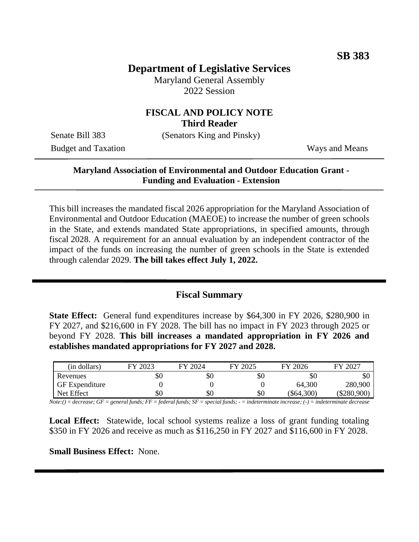# **Department of Legislative Services**

Maryland General Assembly 2022 Session

#### **FISCAL AND POLICY NOTE Third Reader**

Senate Bill 383 (Senators King and Pinsky)

Budget and Taxation Ways and Means

#### **Maryland Association of Environmental and Outdoor Education Grant - Funding and Evaluation - Extension**

This bill increases the mandated fiscal 2026 appropriation for the Maryland Association of Environmental and Outdoor Education (MAEOE) to increase the number of green schools in the State, and extends mandated State appropriations, in specified amounts, through fiscal 2028. A requirement for an annual evaluation by an independent contractor of the impact of the funds on increasing the number of green schools in the State is extended through calendar 2029. **The bill takes effect July 1, 2022.**

### **Fiscal Summary**

**State Effect:** General fund expenditures increase by \$64,300 in FY 2026, \$280,900 in FY 2027, and \$216,600 in FY 2028. The bill has no impact in FY 2023 through 2025 or beyond FY 2028. **This bill increases a mandated appropriation in FY 2026 and establishes mandated appropriations for FY 2027 and 2028.**

| (in dollars)          | FY 2023 | FY 2024 | $\sqrt{2025}$<br>FV. | FY 2026      | FY 2027       |
|-----------------------|---------|---------|----------------------|--------------|---------------|
| Revenues              | \$0     | \$0     | \$0                  | \$0          | \$0           |
| <b>GF</b> Expenditure |         |         |                      | 64,300       | 280,900       |
| Net Effect            | \$0     | \$0     | \$0                  | $(\$64,300)$ | $(\$280,900)$ |

*Note:() = decrease; GF = general funds; FF = federal funds; SF = special funds; - = indeterminate increase; (-) = indeterminate decrease*

**Local Effect:** Statewide, local school systems realize a loss of grant funding totaling \$350 in FY 2026 and receive as much as \$116,250 in FY 2027 and \$116,600 in FY 2028.

**Small Business Effect:** None.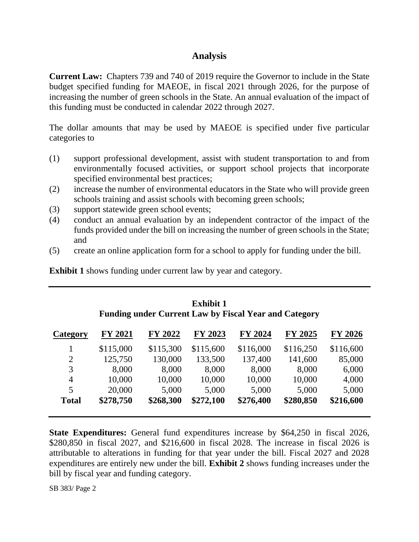#### **Analysis**

**Current Law:** Chapters 739 and 740 of 2019 require the Governor to include in the State budget specified funding for MAEOE, in fiscal 2021 through 2026, for the purpose of increasing the number of green schools in the State. An annual evaluation of the impact of this funding must be conducted in calendar 2022 through 2027.

The dollar amounts that may be used by MAEOE is specified under five particular categories to

- (1) support professional development, assist with student transportation to and from environmentally focused activities, or support school projects that incorporate specified environmental best practices;
- (2) increase the number of environmental educators in the State who will provide green schools training and assist schools with becoming green schools;
- (3) support statewide green school events;
- (4) conduct an annual evaluation by an independent contractor of the impact of the funds provided under the bill on increasing the number of green schools in the State; and
- (5) create an online application form for a school to apply for funding under the bill.

**Exhibit 1** shows funding under current law by year and category.

| <b>Exhibit 1</b><br><b>Funding under Current Law by Fiscal Year and Category</b> |           |           |           |           |           |                |
|----------------------------------------------------------------------------------|-----------|-----------|-----------|-----------|-----------|----------------|
| Category                                                                         | FY 2021   | FY 2022   | FY 2023   | FY 2024   | FY 2025   | <b>FY 2026</b> |
|                                                                                  | \$115,000 | \$115,300 | \$115,600 | \$116,000 | \$116,250 | \$116,600      |
| $\overline{2}$                                                                   | 125,750   | 130,000   | 133,500   | 137,400   | 141,600   | 85,000         |
| 3                                                                                | 8,000     | 8,000     | 8,000     | 8,000     | 8,000     | 6,000          |
| $\overline{4}$                                                                   | 10,000    | 10,000    | 10,000    | 10,000    | 10,000    | 4,000          |
| 5                                                                                | 20,000    | 5,000     | 5,000     | 5,000     | 5,000     | 5,000          |
| <b>Total</b>                                                                     | \$278,750 | \$268,300 | \$272,100 | \$276,400 | \$280,850 | \$216,600      |

**State Expenditures:** General fund expenditures increase by \$64,250 in fiscal 2026, \$280,850 in fiscal 2027, and \$216,600 in fiscal 2028. The increase in fiscal 2026 is attributable to alterations in funding for that year under the bill. Fiscal 2027 and 2028 expenditures are entirely new under the bill. **Exhibit 2** shows funding increases under the bill by fiscal year and funding category.

SB 383/ Page 2